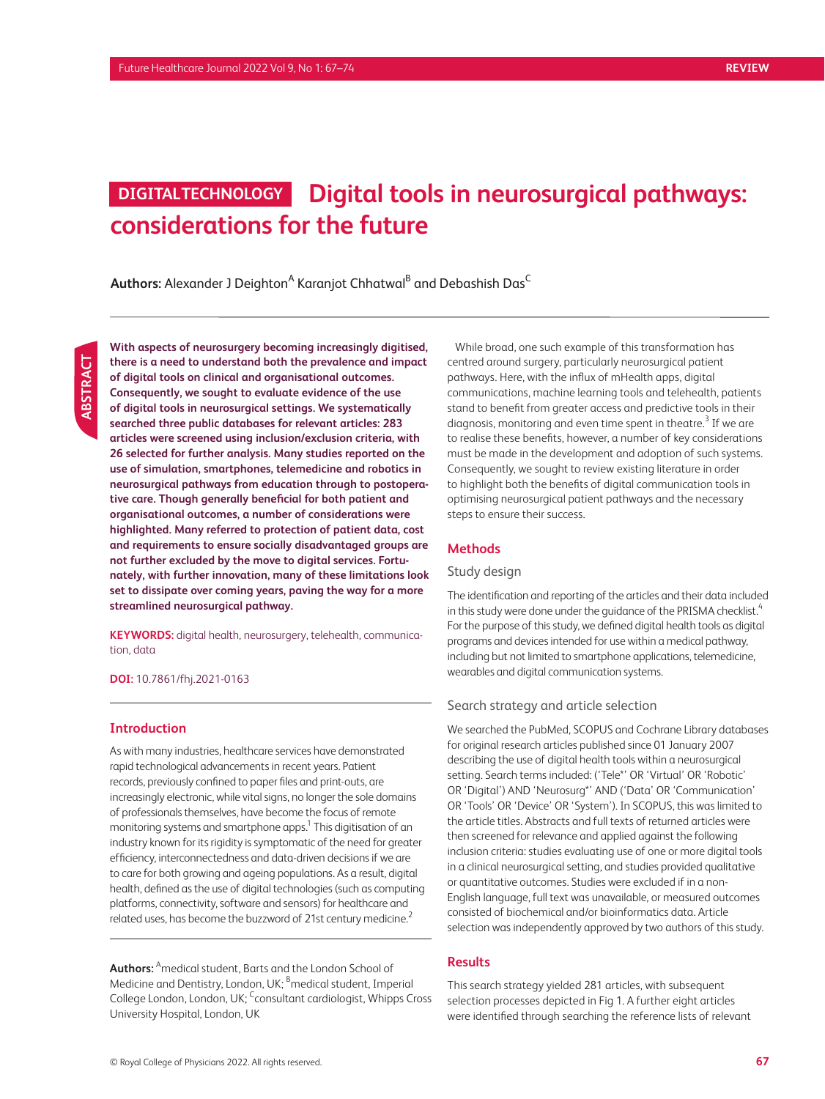# **Digital tools in neurosurgical pathways: DIGITAL TECHNOLOGY considerations for the future**

 $\mathsf{Aut}$ hors: Alexander J Deighton<sup>A</sup> Karanjot Chhatwal<sup>B</sup> and Debashish Das<sup>C</sup>

**With aspects of neurosurgery becoming increasingly digitised, there is a need to understand both the prevalence and impact of digital tools on clinical and organisational outcomes. Consequently, we sought to evaluate evidence of the use of digital tools in neurosurgical settings. We systematically searched three public databases for relevant articles: 283 articles were screened using inclusion/exclusion criteria, with 26 selected for further analysis. Many studies reported on the use of simulation, smartphones, telemedicine and robotics in neurosurgical pathways from education through to postoperative care. Though generally beneficial for both patient and organisational outcomes, a number of considerations were highlighted. Many referred to protection of patient data, cost and requirements to ensure socially disadvantaged groups are not further excluded by the move to digital services. Fortunately, with further innovation, many of these limitations look set to dissipate over coming years, paving the way for a more streamlined neurosurgical pathway.**

**KEYWORDS:** digital health, neurosurgery, telehealth, communication, data

**DOI:** 10.7861/fhj.2021-0163

#### **Introduction**

As with many industries, healthcare services have demonstrated rapid technological advancements in recent years. Patient records, previously confined to paper files and print-outs, are increasingly electronic, while vital signs, no longer the sole domains of professionals themselves, have become the focus of remote monitoring systems and smartphone apps. $^{\rm 1}$  This digitisation of an industry known for its rigidity is symptomatic of the need for greater efficiency, interconnectedness and data-driven decisions if we are to care for both growing and ageing populations. As a result, digital health, defined as the use of digital technologies (such as computing platforms, connectivity, software and sensors) for healthcare and related uses, has become the buzzword of 21st century medicine.<sup>2</sup>

**Authors:** <sup>A</sup> medical student, Barts and the London School of Medicine and Dentistry, London, UK; <sup>B</sup>medical student, Imperial College London, London, UK; Consultant cardiologist, Whipps Cross University Hospital, London, UK

While broad, one such example of this transformation has centred around surgery, particularly neurosurgical patient pathways. Here, with the influx of mHealth apps, digital communications, machine learning tools and telehealth, patients stand to benefit from greater access and predictive tools in their diagnosis, monitoring and even time spent in theatre. $^3$  If we are to realise these benefits, however, a number of key considerations must be made in the development and adoption of such systems. Consequently, we sought to review existing literature in order to highlight both the benefits of digital communication tools in optimising neurosurgical patient pathways and the necessary steps to ensure their success.

## **Methods**

## Study design

The identification and reporting of the articles and their data included in this study were done under the guidance of the PRISMA checklist.<sup>4</sup> For the purpose of this study, we defined digital health tools as digital programs and devices intended for use within a medical pathway, including but not limited to smartphone applications, telemedicine, wearables and digital communication systems.

## Search strategy and article selection

We searched the PubMed, SCOPUS and Cochrane Library databases for original research articles published since 01 January 2007 describing the use of digital health tools within a neurosurgical setting. Search terms included: ('Tele\*' OR 'Virtual' OR 'Robotic' OR 'Digital') AND 'Neurosurg\*' AND ('Data' OR 'Communication' OR 'Tools' OR 'Device' OR 'System'). In SCOPUS, this was limited to the article titles. Abstracts and full texts of returned articles were then screened for relevance and applied against the following inclusion criteria: studies evaluating use of one or more digital tools in a clinical neurosurgical setting, and studies provided qualitative or quantitative outcomes. Studies were excluded if in a non-English language, full text was unavailable, or measured outcomes consisted of biochemical and/or bioinformatics data. Article selection was independently approved by two authors of this study.

#### **Results**

This search strategy yielded 281 articles, with subsequent selection processes depicted in Fig 1. A further eight articles were identified through searching the reference lists of relevant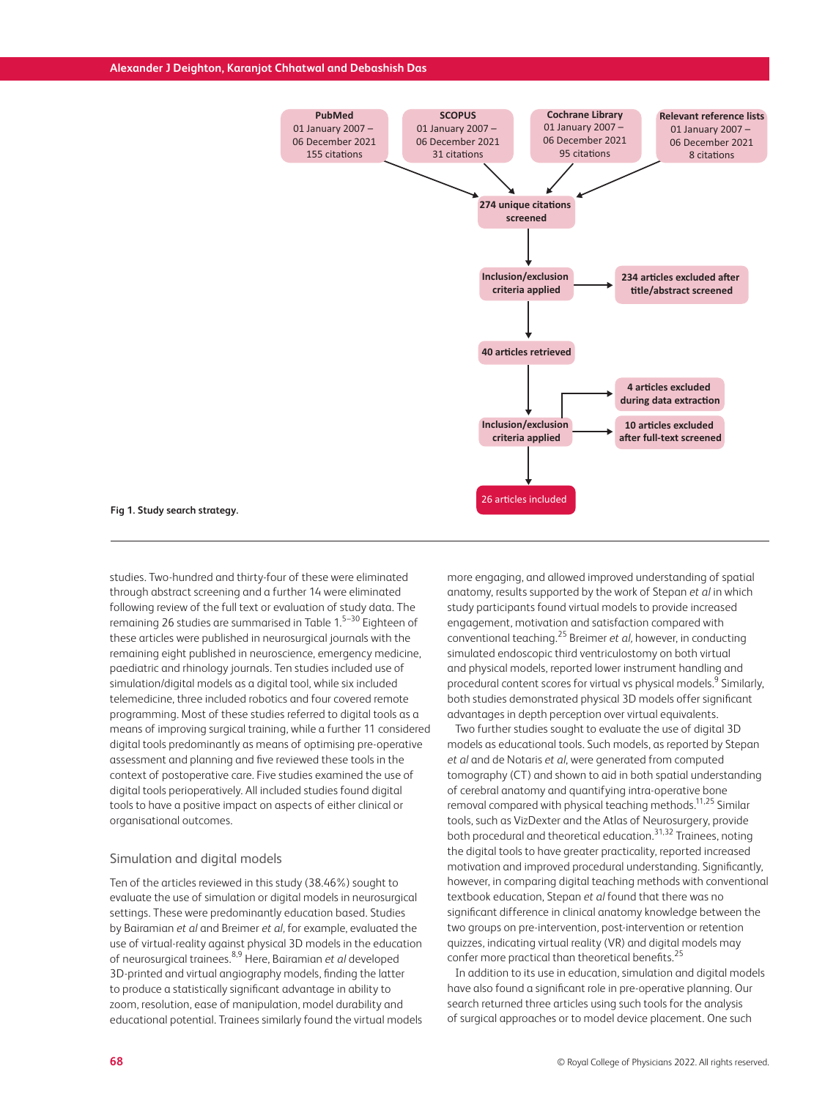

#### **Fig 1. Study search strategy.**

studies. Two-hundred and thirty-four of these were eliminated through abstract screening and a further 14 were eliminated following review of the full text or evaluation of study data. The remaining 26 studies are summarised in Table 1.5–30 Eighteen of these articles were published in neurosurgical journals with the remaining eight published in neuroscience, emergency medicine, paediatric and rhinology journals. Ten studies included use of simulation/digital models as a digital tool, while six included telemedicine, three included robotics and four covered remote programming. Most of these studies referred to digital tools as a means of improving surgical training, while a further 11 considered digital tools predominantly as means of optimising pre-operative assessment and planning and five reviewed these tools in the context of postoperative care. Five studies examined the use of digital tools perioperatively. All included studies found digital tools to have a positive impact on aspects of either clinical or organisational outcomes.

## Simulation and digital models

Ten of the articles reviewed in this study (38.46%) sought to evaluate the use of simulation or digital models in neurosurgical settings. These were predominantly education based. Studies by Bairamian *et al* and Breimer *et al,* for example, evaluated the use of virtual-reality against physical 3D models in the education of neurosurgical trainees.8,9 Here, Bairamian *et al* developed 3D-printed and virtual angiography models, finding the latter to produce a statistically significant advantage in ability to zoom, resolution, ease of manipulation, model durability and educational potential. Trainees similarly found the virtual models

more engaging, and allowed improved understanding of spatial anatomy, results supported by the work of Stepan *et al* in which study participants found virtual models to provide increased engagement, motivation and satisfaction compared with conventional teaching.25 Breimer *et al,* however, in conducting simulated endoscopic third ventriculostomy on both virtual and physical models, reported lower instrument handling and procedural content scores for virtual vs physical models.<sup>9</sup> Similarly, both studies demonstrated physical 3D models offer significant advantages in depth perception over virtual equivalents.

Two further studies sought to evaluate the use of digital 3D models as educational tools. Such models, as reported by Stepan *et al* and de Notaris *et al*, were generated from computed tomography (CT) and shown to aid in both spatial understanding of cerebral anatomy and quantifying intra-operative bone removal compared with physical teaching methods.<sup>11,25</sup> Similar tools, such as VizDexter and the Atlas of Neurosurgery, provide both procedural and theoretical education.<sup>31,32</sup> Trainees, noting the digital tools to have greater practicality, reported increased motivation and improved procedural understanding. Significantly, however, in comparing digital teaching methods with conventional textbook education, Stepan *et al* found that there was no significant difference in clinical anatomy knowledge between the two groups on pre-intervention, post-intervention or retention quizzes, indicating virtual reality (VR) and digital models may confer more practical than theoretical benefits.<sup>25</sup>

In addition to its use in education, simulation and digital models have also found a significant role in pre-operative planning. Our search returned three articles using such tools for the analysis of surgical approaches or to model device placement. One such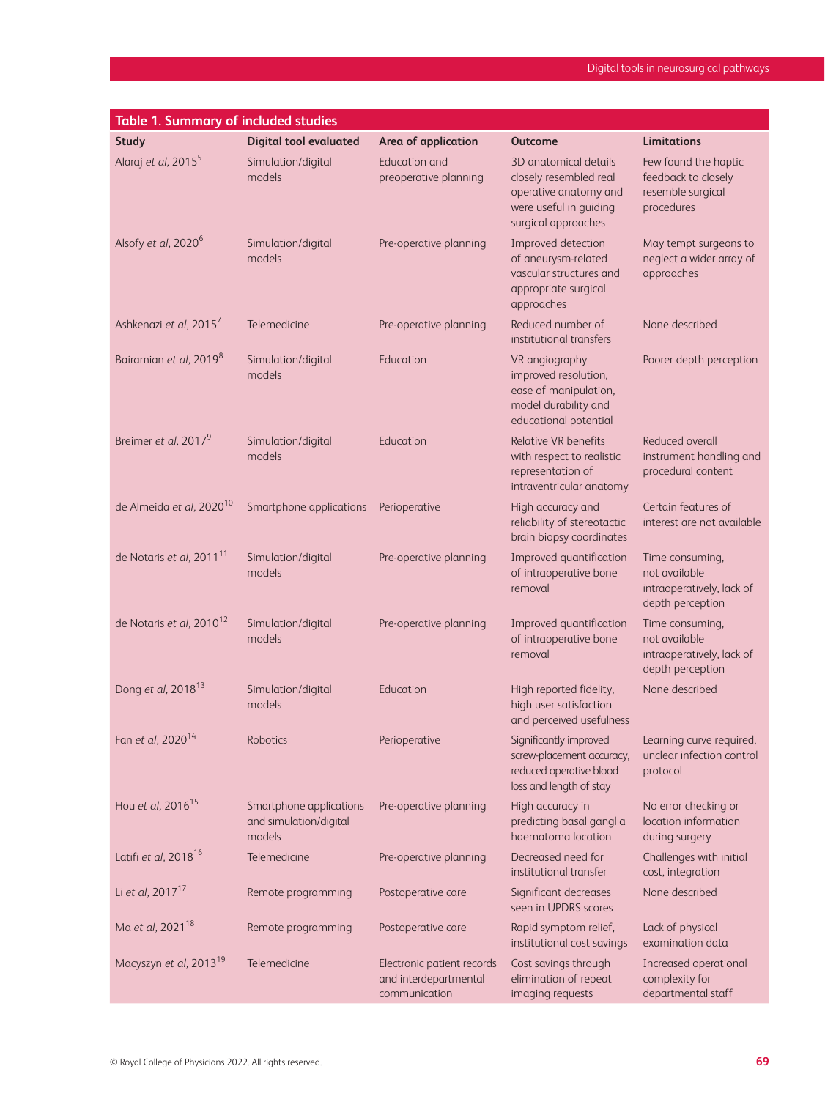| <b>Table 1. Summary of included studies</b> |                                                             |                                                                      |                                                                                                                           |                                                                                   |  |  |  |
|---------------------------------------------|-------------------------------------------------------------|----------------------------------------------------------------------|---------------------------------------------------------------------------------------------------------------------------|-----------------------------------------------------------------------------------|--|--|--|
| <b>Study</b>                                | <b>Digital tool evaluated</b>                               | Area of application                                                  | <b>Outcome</b>                                                                                                            | Limitations                                                                       |  |  |  |
| Alaraj et al, 2015 <sup>5</sup>             | Simulation/digital<br>models                                | Education and<br>preoperative planning                               | 3D anatomical details<br>closely resembled real<br>operative anatomy and<br>were useful in guiding<br>surgical approaches | Few found the haptic<br>feedback to closely<br>resemble surgical<br>procedures    |  |  |  |
| Alsofy et al, 2020 <sup>6</sup>             | Simulation/digital<br>models                                | Pre-operative planning                                               | Improved detection<br>of aneurysm-related<br>vascular structures and<br>appropriate surgical<br>approaches                | May tempt surgeons to<br>neglect a wider array of<br>approaches                   |  |  |  |
| Ashkenazi et al, 2015 <sup>7</sup>          | Telemedicine                                                | Pre-operative planning                                               | Reduced number of<br>institutional transfers                                                                              | None described                                                                    |  |  |  |
| Bairamian et al, 2019 <sup>8</sup>          | Simulation/digital<br>models                                | Education                                                            | VR angiography<br>improved resolution,<br>ease of manipulation,<br>model durability and<br>educational potential          | Poorer depth perception                                                           |  |  |  |
| Breimer et al, 2017 <sup>9</sup>            | Simulation/digital<br>models                                | Education                                                            | <b>Relative VR benefits</b><br>with respect to realistic<br>representation of<br>intraventricular anatomy                 | Reduced overall<br>instrument handling and<br>procedural content                  |  |  |  |
| de Almeida et al, 2020 <sup>10</sup>        | Smartphone applications                                     | Perioperative                                                        | High accuracy and<br>reliability of stereotactic<br>brain biopsy coordinates                                              | Certain features of<br>interest are not available                                 |  |  |  |
| de Notaris et al, 2011 <sup>11</sup>        | Simulation/digital<br>models                                | Pre-operative planning                                               | Improved quantification<br>of intraoperative bone<br>removal                                                              | Time consuming,<br>not available<br>intraoperatively, lack of<br>depth perception |  |  |  |
| de Notaris et al, 2010 <sup>12</sup>        | Simulation/digital<br>models                                | Pre-operative planning                                               | Improved quantification<br>of intraoperative bone<br>removal                                                              | Time consuming,<br>not available<br>intraoperatively, lack of<br>depth perception |  |  |  |
| Dong et al, 2018 <sup>13</sup>              | Simulation/digital<br>models                                | Education                                                            | High reported fidelity,<br>high user satisfaction<br>and perceived usefulness                                             | None described                                                                    |  |  |  |
| Fan et al, 2020 <sup>14</sup>               | Robotics                                                    | Perioperative                                                        | Significantly improved<br>screw-placement accuracy,<br>reduced operative blood<br>loss and length of stay                 | Learning curve required,<br>unclear infection control<br>protocol                 |  |  |  |
| Hou et al, 2016 <sup>15</sup>               | Smartphone applications<br>and simulation/digital<br>models | Pre-operative planning                                               | High accuracy in<br>predicting basal ganglia<br>haematoma location                                                        | No error checking or<br>location information<br>during surgery                    |  |  |  |
| Latifi et al, 2018 <sup>16</sup>            | Telemedicine                                                | Pre-operative planning                                               | Decreased need for<br>institutional transfer                                                                              | Challenges with initial<br>cost, integration                                      |  |  |  |
| Li et al, 2017 <sup>17</sup>                | Remote programming                                          | Postoperative care                                                   | Significant decreases<br>seen in UPDRS scores                                                                             | None described                                                                    |  |  |  |
| Ma et al, 2021 <sup>18</sup>                | Remote programming                                          | Postoperative care                                                   | Rapid symptom relief,<br>institutional cost savings                                                                       | Lack of physical<br>examination data                                              |  |  |  |
| Macyszyn et al, 2013 <sup>19</sup>          | Telemedicine                                                | Electronic patient records<br>and interdepartmental<br>communication | Cost savings through<br>elimination of repeat<br>imaging requests                                                         | Increased operational<br>complexity for<br>departmental staff                     |  |  |  |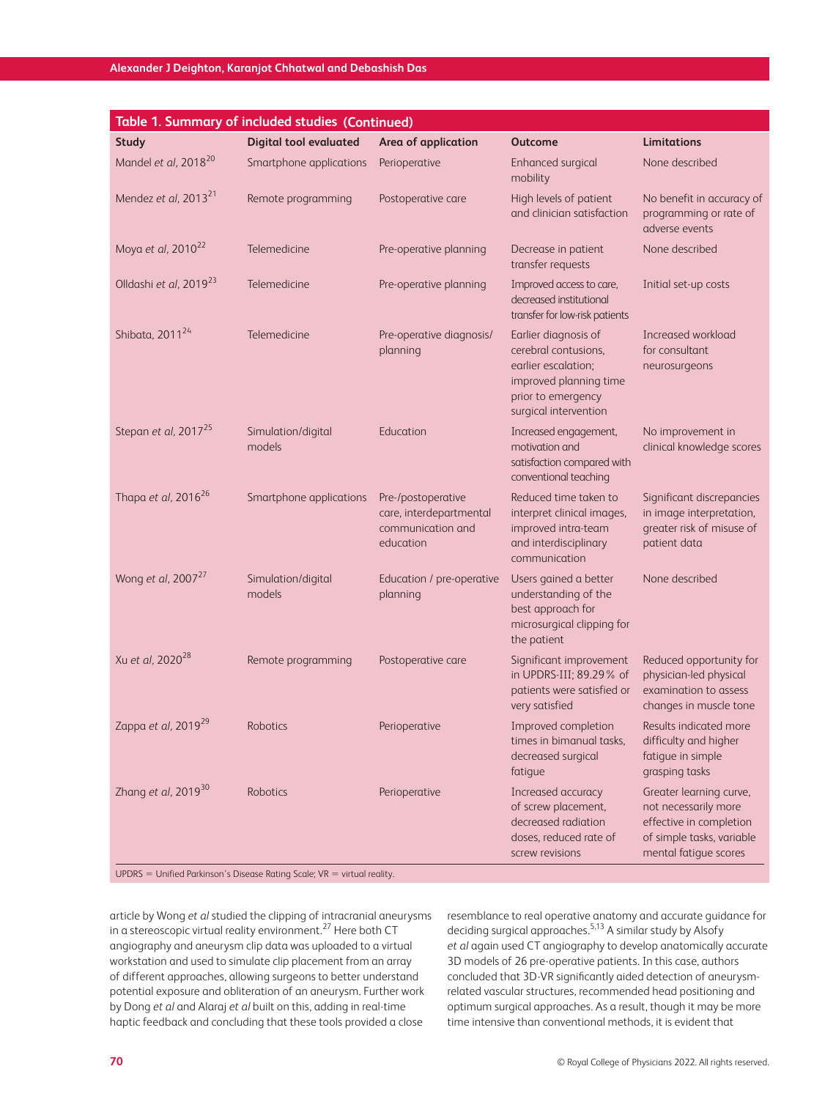| <b>Table 1. Summary of included studies (Continued)</b>                     |                               |                                                                                 |                                                                                                                                              |                                                                                                                                  |  |  |
|-----------------------------------------------------------------------------|-------------------------------|---------------------------------------------------------------------------------|----------------------------------------------------------------------------------------------------------------------------------------------|----------------------------------------------------------------------------------------------------------------------------------|--|--|
| <b>Study</b>                                                                | <b>Digital tool evaluated</b> | Area of application                                                             | <b>Outcome</b>                                                                                                                               | <b>Limitations</b>                                                                                                               |  |  |
| Mandel et al, 2018 <sup>20</sup>                                            | Smartphone applications       | Perioperative                                                                   | Enhanced surgical<br>mobility                                                                                                                | None described                                                                                                                   |  |  |
| Mendez et al, 2013 <sup>21</sup>                                            | Remote programming            | Postoperative care                                                              | High levels of patient<br>and clinician satisfaction                                                                                         | No benefit in accuracy of<br>programming or rate of<br>adverse events                                                            |  |  |
| Moya et al, 2010 <sup>22</sup>                                              | Telemedicine                  | Pre-operative planning                                                          | Decrease in patient<br>transfer requests                                                                                                     | None described                                                                                                                   |  |  |
| Olldashi et al, 2019 <sup>23</sup>                                          | Telemedicine                  | Pre-operative planning                                                          | Improved access to care,<br>decreased institutional<br>transfer for low-risk patients                                                        | Initial set-up costs                                                                                                             |  |  |
| Shibata, 2011 <sup>24</sup>                                                 | Telemedicine                  | Pre-operative diagnosis/<br>planning                                            | Earlier diagnosis of<br>cerebral contusions.<br>earlier escalation;<br>improved planning time<br>prior to emergency<br>surgical intervention | Increased workload<br>for consultant<br>neurosurgeons                                                                            |  |  |
| Stepan et al, 2017 <sup>25</sup>                                            | Simulation/digital<br>models  | Education                                                                       | Increased engagement,<br>motivation and<br>satisfaction compared with<br>conventional teaching                                               | No improvement in<br>clinical knowledge scores                                                                                   |  |  |
| Thapa et al, 2016 <sup>26</sup>                                             | Smartphone applications       | Pre-/postoperative<br>care, interdepartmental<br>communication and<br>education | Reduced time taken to<br>interpret clinical images,<br>improved intra-team<br>and interdisciplinary<br>communication                         | Significant discrepancies<br>in image interpretation,<br>greater risk of misuse of<br>patient data                               |  |  |
| Wong et al, 2007 <sup>27</sup>                                              | Simulation/digital<br>models  | Education / pre-operative<br>planning                                           | Users gained a better<br>understanding of the<br>best approach for<br>microsurgical clipping for<br>the patient                              | None described                                                                                                                   |  |  |
| Xu et al, 2020 <sup>28</sup>                                                | Remote programming            | Postoperative care                                                              | Significant improvement<br>in UPDRS-III; 89.29% of<br>patients were satisfied or<br>very satisfied                                           | Reduced opportunity for<br>physician-led physical<br>examination to assess<br>changes in muscle tone                             |  |  |
| Zappa et al, 2019 <sup>29</sup>                                             | Robotics                      | Perioperative                                                                   | Improved completion<br>times in bimanual tasks,<br>decreased surgical<br>fatique                                                             | Results indicated more<br>difficulty and higher<br>fatigue in simple<br>grasping tasks                                           |  |  |
| Zhang et al, 2019 <sup>30</sup>                                             | Robotics                      | Perioperative                                                                   | Increased accuracy<br>of screw placement,<br>decreased radiation<br>doses, reduced rate of<br>screw revisions                                | Greater learning curve,<br>not necessarily more<br>effective in completion<br>of simple tasks, variable<br>mental fatigue scores |  |  |
| $UPDRS =$ Unified Parkinson's Disease Rating Scale; $VR =$ virtual reality. |                               |                                                                                 |                                                                                                                                              |                                                                                                                                  |  |  |

article by Wong *et al* studied the clipping of intracranial aneurysms in a stereoscopic virtual reality environment.27 Here both CT angiography and aneurysm clip data was uploaded to a virtual workstation and used to simulate clip placement from an array of different approaches, allowing surgeons to better understand potential exposure and obliteration of an aneurysm. Further work by Dong *et al* and Alaraj *et al* built on this, adding in real-time haptic feedback and concluding that these tools provided a close

resemblance to real operative anatomy and accurate guidance for deciding surgical approaches.5,13 A similar study by Alsofy *et al* again used CT angiography to develop anatomically accurate 3D models of 26 pre-operative patients. In this case, authors concluded that 3D-VR significantly aided detection of aneurysmrelated vascular structures, recommended head positioning and optimum surgical approaches. As a result, though it may be more time intensive than conventional methods, it is evident that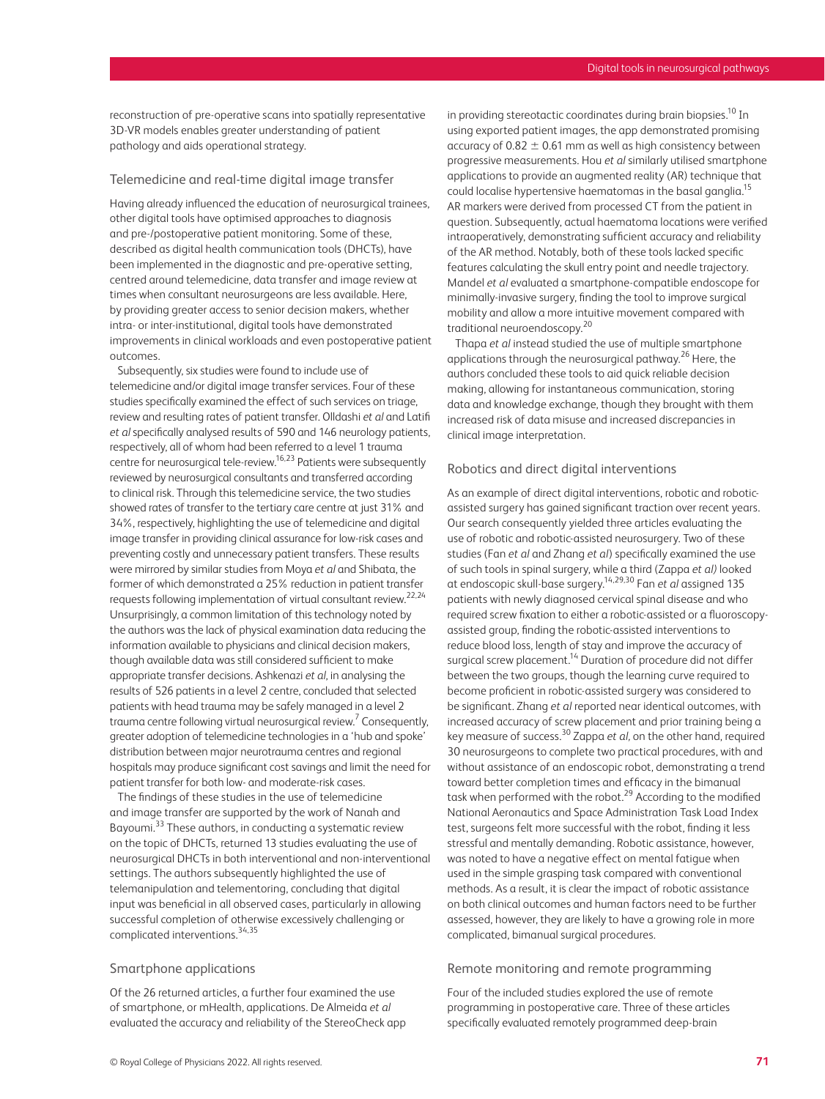reconstruction of pre-operative scans into spatially representative 3D-VR models enables greater understanding of patient pathology and aids operational strategy.

#### Telemedicine and real-time digital image transfer

Having already influenced the education of neurosurgical trainees, other digital tools have optimised approaches to diagnosis and pre-/postoperative patient monitoring. Some of these, described as digital health communication tools (DHCTs), have been implemented in the diagnostic and pre-operative setting, centred around telemedicine, data transfer and image review at times when consultant neurosurgeons are less available. Here, by providing greater access to senior decision makers, whether intra- or inter-institutional, digital tools have demonstrated improvements in clinical workloads and even postoperative patient outcomes.

Subsequently, six studies were found to include use of telemedicine and/or digital image transfer services. Four of these studies specifically examined the effect of such services on triage, review and resulting rates of patient transfer. Olldashi *et al* and Latifi *et al* specifically analysed results of 590 and 146 neurology patients, respectively, all of whom had been referred to a level 1 trauma centre for neurosurgical tele-review.<sup>16,23</sup> Patients were subsequently reviewed by neurosurgical consultants and transferred according to clinical risk. Through this telemedicine service, the two studies showed rates of transfer to the tertiary care centre at just 31% and 34%, respectively, highlighting the use of telemedicine and digital image transfer in providing clinical assurance for low-risk cases and preventing costly and unnecessary patient transfers. These results were mirrored by similar studies from Moya *et al* and Shibata, the former of which demonstrated a 25% reduction in patient transfer requests following implementation of virtual consultant review.<sup>22,24</sup> Unsurprisingly, a common limitation of this technology noted by the authors was the lack of physical examination data reducing the information available to physicians and clinical decision makers, though available data was still considered sufficient to make appropriate transfer decisions. Ashkenazi *et al*, in analysing the results of 526 patients in a level 2 centre, concluded that selected patients with head trauma may be safely managed in a level 2 trauma centre following virtual neurosurgical review. $^7$  Consequently, greater adoption of telemedicine technologies in a 'hub and spoke' distribution between major neurotrauma centres and regional hospitals may produce significant cost savings and limit the need for patient transfer for both low- and moderate-risk cases.

The findings of these studies in the use of telemedicine and image transfer are supported by the work of Nanah and Bayoumi.<sup>33</sup> These authors, in conducting a systematic review on the topic of DHCTs, returned 13 studies evaluating the use of neurosurgical DHCTs in both interventional and non-interventional settings. The authors subsequently highlighted the use of telemanipulation and telementoring, concluding that digital input was beneficial in all observed cases, particularly in allowing successful completion of otherwise excessively challenging or complicated interventions.34,35

## Smartphone applications

Of the 26 returned articles, a further four examined the use of smartphone, or mHealth, applications. De Almeida *et al* evaluated the accuracy and reliability of the StereoCheck app in providing stereotactic coordinates during brain biopsies.<sup>10</sup> In using exported patient images, the app demonstrated promising accuracy of  $0.82 \pm 0.61$  mm as well as high consistency between progressive measurements. Hou *et al* similarly utilised smartphone applications to provide an augmented reality (AR) technique that could localise hypertensive haematomas in the basal ganglia.<sup>15</sup> AR markers were derived from processed CT from the patient in question. Subsequently, actual haematoma locations were verified intraoperatively, demonstrating sufficient accuracy and reliability of the AR method. Notably, both of these tools lacked specific features calculating the skull entry point and needle trajectory. Mandel *et al* evaluated a smartphone-compatible endoscope for minimally-invasive surgery, finding the tool to improve surgical mobility and allow a more intuitive movement compared with traditional neuroendoscopy.<sup>20</sup>

Thapa *et al* instead studied the use of multiple smartphone applications through the neurosurgical pathway.26 Here, the authors concluded these tools to aid quick reliable decision making, allowing for instantaneous communication, storing data and knowledge exchange, though they brought with them increased risk of data misuse and increased discrepancies in clinical image interpretation.

#### Robotics and direct digital interventions

As an example of direct digital interventions, robotic and roboticassisted surgery has gained significant traction over recent years. Our search consequently yielded three articles evaluating the use of robotic and robotic-assisted neurosurgery. Two of these studies (Fan *et al* and Zhang *et al*) specifically examined the use of such tools in spinal surgery, while a third (Zappa *et al)* looked at endoscopic skull-base surgery.14,29,30 Fan *et al* assigned 135 patients with newly diagnosed cervical spinal disease and who required screw fixation to either a robotic-assisted or a fluoroscopyassisted group, finding the robotic-assisted interventions to reduce blood loss, length of stay and improve the accuracy of surgical screw placement.<sup>14</sup> Duration of procedure did not differ between the two groups, though the learning curve required to become proficient in robotic-assisted surgery was considered to be significant. Zhang *et al* reported near identical outcomes, with increased accuracy of screw placement and prior training being a key measure of success.30 Zappa *et al,* on the other hand, required 30 neurosurgeons to complete two practical procedures, with and without assistance of an endoscopic robot, demonstrating a trend toward better completion times and efficacy in the bimanual task when performed with the robot.<sup>29</sup> According to the modified National Aeronautics and Space Administration Task Load Index test, surgeons felt more successful with the robot, finding it less stressful and mentally demanding. Robotic assistance, however, was noted to have a negative effect on mental fatigue when used in the simple grasping task compared with conventional methods. As a result, it is clear the impact of robotic assistance on both clinical outcomes and human factors need to be further assessed, however, they are likely to have a growing role in more complicated, bimanual surgical procedures.

#### Remote monitoring and remote programming

Four of the included studies explored the use of remote programming in postoperative care. Three of these articles specifically evaluated remotely programmed deep-brain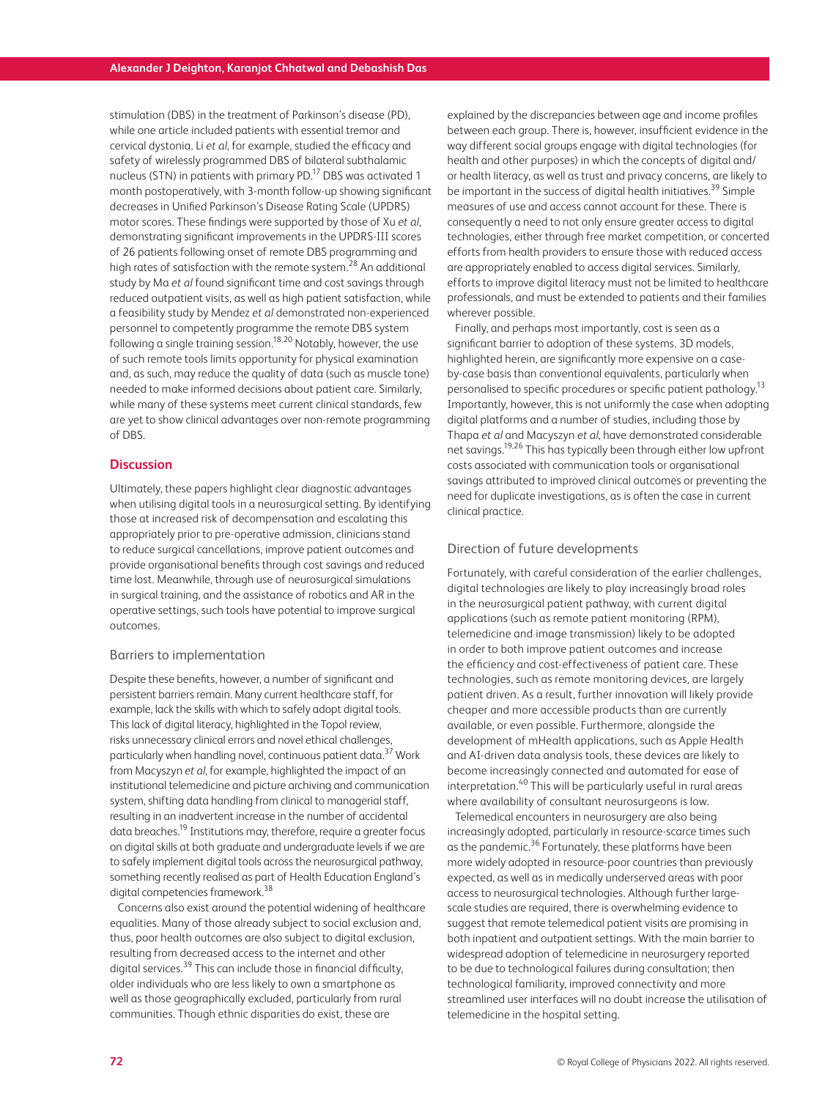stimulation (DBS) in the treatment of Parkinson's disease (PD), while one article included patients with essential tremor and cervical dystonia. Li *et al*, for example, studied the efficacy and safety of wirelessly programmed DBS of bilateral subthalamic nucleus (STN) in patients with primary PD.17 DBS was activated 1 month postoperatively, with 3-month follow-up showing significant decreases in Unified Parkinson's Disease Rating Scale (UPDRS) motor scores. These findings were supported by those of Xu *et al*, demonstrating significant improvements in the UPDRS-III scores of 26 patients following onset of remote DBS programming and high rates of satisfaction with the remote system.<sup>28</sup> An additional study by Ma *et al* found significant time and cost savings through reduced outpatient visits, as well as high patient satisfaction, while a feasibility study by Mendez *et al* demonstrated non-experienced personnel to competently programme the remote DBS system following a single training session.<sup>18,20</sup> Notably, however, the use of such remote tools limits opportunity for physical examination and, as such, may reduce the quality of data (such as muscle tone) needed to make informed decisions about patient care. Similarly, while many of these systems meet current clinical standards, few are yet to show clinical advantages over non-remote programming of DBS.

## **Discussion**

Ultimately, these papers highlight clear diagnostic advantages when utilising digital tools in a neurosurgical setting. By identifying those at increased risk of decompensation and escalating this appropriately prior to pre-operative admission, clinicians stand to reduce surgical cancellations, improve patient outcomes and provide organisational benefits through cost savings and reduced time lost. Meanwhile, through use of neurosurgical simulations in surgical training, and the assistance of robotics and AR in the operative settings, such tools have potential to improve surgical outcomes.

#### Barriers to implementation

Despite these benefits, however, a number of significant and persistent barriers remain. Many current healthcare staff, for example, lack the skills with which to safely adopt digital tools. This lack of digital literacy, highlighted in the Topol review, risks unnecessary clinical errors and novel ethical challenges, particularly when handling novel, continuous patient data.<sup>37</sup> Work from Macyszyn *et al*, for example, highlighted the impact of an institutional telemedicine and picture archiving and communication system, shifting data handling from clinical to managerial staff, resulting in an inadvertent increase in the number of accidental data breaches.<sup>19</sup> Institutions may, therefore, require a greater focus on digital skills at both graduate and undergraduate levels if we are to safely implement digital tools across the neurosurgical pathway, something recently realised as part of Health Education England's digital competencies framework.<sup>38</sup>

Concerns also exist around the potential widening of healthcare equalities. Many of those already subject to social exclusion and, thus, poor health outcomes are also subject to digital exclusion, resulting from decreased access to the internet and other digital services.<sup>39</sup> This can include those in financial difficulty, older individuals who are less likely to own a smartphone as well as those geographically excluded, particularly from rural communities. Though ethnic disparities do exist, these are

explained by the discrepancies between age and income profiles between each group. There is, however, insufficient evidence in the way different social groups engage with digital technologies (for health and other purposes) in which the concepts of digital and/ or health literacy, as well as trust and privacy concerns, are likely to be important in the success of digital health initiatives.<sup>39</sup> Simple measures of use and access cannot account for these. There is consequently a need to not only ensure greater access to digital technologies, either through free market competition, or concerted efforts from health providers to ensure those with reduced access are appropriately enabled to access digital services. Similarly, efforts to improve digital literacy must not be limited to healthcare professionals, and must be extended to patients and their families wherever possible.

Finally, and perhaps most importantly, cost is seen as a significant barrier to adoption of these systems. 3D models, highlighted herein, are significantly more expensive on a caseby-case basis than conventional equivalents, particularly when personalised to specific procedures or specific patient pathology.13 Importantly, however, this is not uniformly the case when adopting digital platforms and a number of studies, including those by Thapa *et al* and Macyszyn *et al*, have demonstrated considerable net savings.<sup>19,26</sup> This has typically been through either low upfront costs associated with communication tools or organisational savings attributed to improved clinical outcomes or preventing the need for duplicate investigations, as is often the case in current clinical practice.

#### Direction of future developments

Fortunately, with careful consideration of the earlier challenges, digital technologies are likely to play increasingly broad roles in the neurosurgical patient pathway, with current digital applications (such as remote patient monitoring (RPM), telemedicine and image transmission) likely to be adopted in order to both improve patient outcomes and increase the efficiency and cost-effectiveness of patient care. These technologies, such as remote monitoring devices, are largely patient driven. As a result, further innovation will likely provide cheaper and more accessible products than are currently available, or even possible. Furthermore, alongside the development of mHealth applications, such as Apple Health and AI-driven data analysis tools, these devices are likely to become increasingly connected and automated for ease of interpretation.40 This will be particularly useful in rural areas where availability of consultant neurosurgeons is low.

Telemedical encounters in neurosurgery are also being increasingly adopted, particularly in resource-scarce times such as the pandemic.<sup>36</sup> Fortunately, these platforms have been more widely adopted in resource-poor countries than previously expected, as well as in medically underserved areas with poor access to neurosurgical technologies. Although further largescale studies are required, there is overwhelming evidence to suggest that remote telemedical patient visits are promising in both inpatient and outpatient settings. With the main barrier to widespread adoption of telemedicine in neurosurgery reported to be due to technological failures during consultation; then technological familiarity, improved connectivity and more streamlined user interfaces will no doubt increase the utilisation of telemedicine in the hospital setting.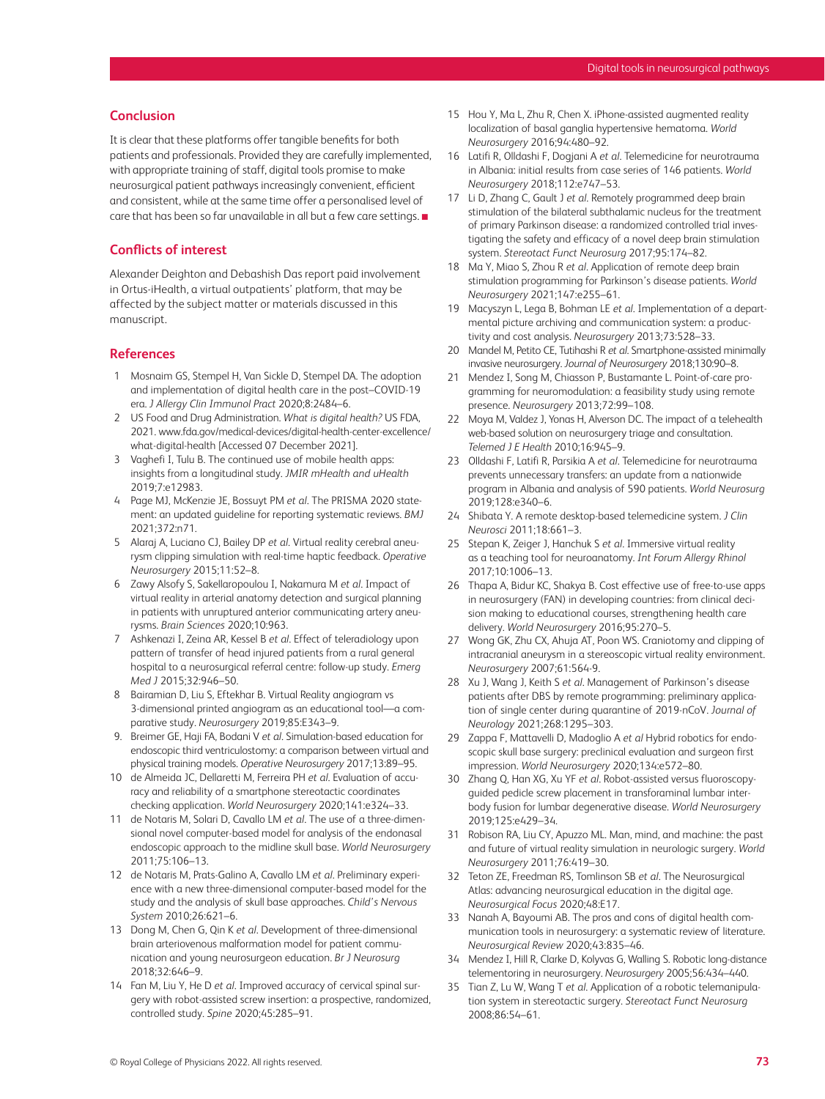## **Conclusion**

It is clear that these platforms offer tangible benefits for both patients and professionals. Provided they are carefully implemented, with appropriate training of staff, digital tools promise to make neurosurgical patient pathways increasingly convenient, efficient and consistent, while at the same time offer a personalised level of care that has been so far unavailable in all but a few care settings. ■

# **Conflicts of interest**

Alexander Deighton and Debashish Das report paid involvement in Ortus-iHealth, a virtual outpatients' platform, that may be affected by the subject matter or materials discussed in this manuscript.

## **References**

- 1 Mosnaim GS, Stempel H, Van Sickle D, Stempel DA. The adoption and implementation of digital health care in the post–COVID-19 era. *J Allergy Clin Immunol Pract* 2020;8:2484–6.
- 2 US Food and Drug Administration. *What is digital health?* US FDA, 2021. [www.fda.gov/medical-devices/digital-health-center-excellence/](http://www.fda.gov/medical-devices/digital-health-center-excellence/what-digital-health) [what-digital-health](http://www.fda.gov/medical-devices/digital-health-center-excellence/what-digital-health) [Accessed 07 December 2021].
- 3 Vaghefi I, Tulu B. The continued use of mobile health apps: insights from a longitudinal study. *JMIR mHealth and uHealth* 2019;7:e12983.
- 4 Page MJ, McKenzie JE, Bossuyt PM *et al*. The PRISMA 2020 statement: an updated guideline for reporting systematic reviews. *BMJ* 2021;372:n71.
- 5 Alaraj A, Luciano CJ, Bailey DP *et al*. Virtual reality cerebral aneurysm clipping simulation with real-time haptic feedback. *Operative Neurosurgery* 2015;11:52–8.
- 6 Zawy Alsofy S, Sakellaropoulou I, Nakamura M *et al*. Impact of virtual reality in arterial anatomy detection and surgical planning in patients with unruptured anterior communicating artery aneurysms. *Brain Sciences* 2020;10:963.
- 7 Ashkenazi I, Zeina AR, Kessel B *et al*. Effect of teleradiology upon pattern of transfer of head injured patients from a rural general hospital to a neurosurgical referral centre: follow-up study. *Emerg Med J* 2015;32:946–50.
- 8 Bairamian D, Liu S, Eftekhar B. Virtual Reality angiogram vs 3-dimensional printed angiogram as an educational tool—a comparative study. *Neurosurgery* 2019;85:E343–9.
- 9. Breimer GE, Haji FA, Bodani V *et al*. Simulation-based education for endoscopic third ventriculostomy: a comparison between virtual and physical training models. *Operative Neurosurgery* 2017;13:89–95.
- 10 de Almeida JC, Dellaretti M, Ferreira PH *et al*. Evaluation of accuracy and reliability of a smartphone stereotactic coordinates checking application. *World Neurosurgery* 2020;141:e324–33.
- 11 de Notaris M, Solari D, Cavallo LM *et al*. The use of a three-dimensional novel computer-based model for analysis of the endonasal endoscopic approach to the midline skull base. *World Neurosurgery* 2011;75:106–13.
- 12 de Notaris M, Prats-Galino A, Cavallo LM *et al*. Preliminary experience with a new three-dimensional computer-based model for the study and the analysis of skull base approaches. *Child's Nervous System* 2010;26:621–6.
- 13 Dong M, Chen G, Qin K *et al*. Development of three-dimensional brain arteriovenous malformation model for patient communication and young neurosurgeon education. *Br J Neurosurg* 2018;32:646–9.
- 14 Fan M, Liu Y, He D *et al*. Improved accuracy of cervical spinal surgery with robot-assisted screw insertion: a prospective, randomized, controlled study. *Spine* 2020;45:285–91.
- 15 Hou Y, Ma L, Zhu R, Chen X. iPhone-assisted augmented reality localization of basal ganglia hypertensive hematoma. *World Neurosurgery* 2016;94:480–92.
- 16 Latifi R, Olldashi F, Dogjani A *et al*. Telemedicine for neurotrauma in Albania: initial results from case series of 146 patients. *World Neurosurgery* 2018;112:e747–53.
- 17 Li D, Zhang C, Gault J *et al*. Remotely programmed deep brain stimulation of the bilateral subthalamic nucleus for the treatment of primary Parkinson disease: a randomized controlled trial investigating the safety and efficacy of a novel deep brain stimulation system. *Stereotact Funct Neurosurg* 2017;95:174–82.
- 18 Ma Y, Miao S, Zhou R *et al*. Application of remote deep brain stimulation programming for Parkinson's disease patients. *World Neurosurgery* 2021;147:e255–61.
- 19 Macyszyn L, Lega B, Bohman LE *et al*. Implementation of a departmental picture archiving and communication system: a productivity and cost analysis. *Neurosurgery* 2013;73:528–33.
- 20 Mandel M, Petito CE, Tutihashi R *et al*. Smartphone-assisted minimally invasive neurosurgery. *Journal of Neurosurgery* 2018;130:90–8.
- 21 Mendez I, Song M, Chiasson P, Bustamante L. Point-of-care programming for neuromodulation: a feasibility study using remote presence. *Neurosurgery* 2013;72:99–108.
- 22 Moya M, Valdez J, Yonas H, Alverson DC. The impact of a telehealth web-based solution on neurosurgery triage and consultation. *Telemed J E Health* 2010;16:945–9.
- 23 Olldashi F, Latifi R, Parsikia A *et al*. Telemedicine for neurotrauma prevents unnecessary transfers: an update from a nationwide program in Albania and analysis of 590 patients. *World Neurosurg* 2019;128:e340–6.
- 24 Shibata Y. A remote desktop-based telemedicine system. *J Clin Neurosci* 2011;18:661–3.
- 25 Stepan K, Zeiger J, Hanchuk S *et al*. Immersive virtual reality as a teaching tool for neuroanatomy. *Int Forum Allergy Rhinol* 2017;10:1006–13.
- 26 Thapa A, Bidur KC, Shakya B. Cost effective use of free-to-use apps in neurosurgery (FAN) in developing countries: from clinical decision making to educational courses, strengthening health care delivery. *World Neurosurgery* 2016;95:270–5.
- 27 Wong GK, Zhu CX, Ahuja AT, Poon WS. Craniotomy and clipping of intracranial aneurysm in a stereoscopic virtual reality environment. *Neurosurgery* 2007;61:564-9.
- 28 Xu J, Wang J, Keith S *et al*. Management of Parkinson's disease patients after DBS by remote programming: preliminary application of single center during quarantine of 2019-nCoV. *Journal of Neurology* 2021;268:1295–303.
- 29 Zappa F, Mattavelli D, Madoglio A *et al* Hybrid robotics for endoscopic skull base surgery: preclinical evaluation and surgeon first impression. *World Neurosurgery* 2020;134:e572–80.
- 30 Zhang Q, Han XG, Xu YF *et al*. Robot-assisted versus fluoroscopyguided pedicle screw placement in transforaminal lumbar interbody fusion for lumbar degenerative disease. *World Neurosurgery* 2019;125:e429–34.
- 31 Robison RA, Liu CY, Apuzzo ML. Man, mind, and machine: the past and future of virtual reality simulation in neurologic surgery. *World Neurosurgery* 2011;76:419–30.
- 32 Teton ZE, Freedman RS, Tomlinson SB *et al*. The Neurosurgical Atlas: advancing neurosurgical education in the digital age. *Neurosurgical Focus* 2020;48:E17.
- 33 Nanah A, Bayoumi AB. The pros and cons of digital health communication tools in neurosurgery: a systematic review of literature. *Neurosurgical Review* 2020;43:835–46.
- 34 Mendez I, Hill R, Clarke D, Kolyvas G, Walling S. Robotic long-distance telementoring in neurosurgery. *Neurosurgery* 2005;56:434–440.
- 35 Tian Z, Lu W, Wang T *et al*. Application of a robotic telemanipulation system in stereotactic surgery. *Stereotact Funct Neurosurg* 2008;86:54–61.